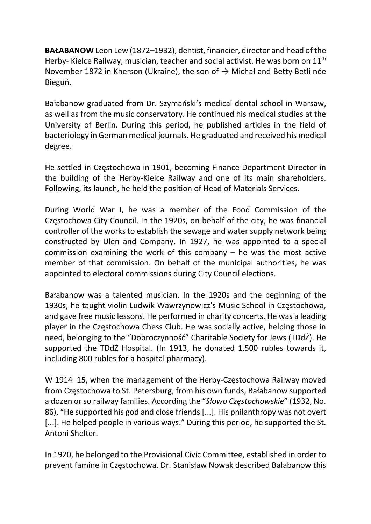BAŁABANOW Leon Lew (1872–1932), dentist, financier, director and head of the Herby- Kielce Railway, musician, teacher and social activist. He was born on 11<sup>th</sup> November 1872 in Kherson (Ukraine), the son of  $\rightarrow$  Michał and Betty Betli née Bieguń.

Bałabanow graduated from Dr. Szymański's medical-dental school in Warsaw, as well as from the music conservatory. He continued his medical studies at the University of Berlin. During this period, he published articles in the field of bacteriology in German medical journals. He graduated and received his medical degree.

He settled in Częstochowa in 1901, becoming Finance Department Director in the building of the Herby-Kielce Railway and one of its main shareholders. Following, its launch, he held the position of Head of Materials Services.

During World War I, he was a member of the Food Commission of the Częstochowa City Council. In the 1920s, on behalf of the city, he was financial controller of the works to establish the sewage and water supply network being constructed by Ulen and Company. In 1927, he was appointed to a special commission examining the work of this company – he was the most active member of that commission. On behalf of the municipal authorities, he was appointed to electoral commissions during City Council elections.

Bałabanow was a talented musician. In the 1920s and the beginning of the 1930s, he taught violin Ludwik Wawrzynowicz's Music School in Częstochowa, and gave free music lessons. He performed in charity concerts. He was a leading player in the Częstochowa Chess Club. He was socially active, helping those in need, belonging to the "Dobroczynność" Charitable Society for Jews (TDdŻ). He supported the TDdŻ Hospital. (In 1913, he donated 1,500 rubles towards it, including 800 rubles for a hospital pharmacy).

W 1914–15, when the management of the Herby-Częstochowa Railway moved from Częstochowa to St. Petersburg, from his own funds, Bałabanow supported a dozen or so railway families. According the "Słowo Częstochowskie" (1932, No. 86), "He supported his god and close friends [...]. His philanthropy was not overt [...]. He helped people in various ways." During this period, he supported the St. Antoni Shelter.

In 1920, he belonged to the Provisional Civic Committee, established in order to prevent famine in Częstochowa. Dr. Stanisław Nowak described Bałabanow this